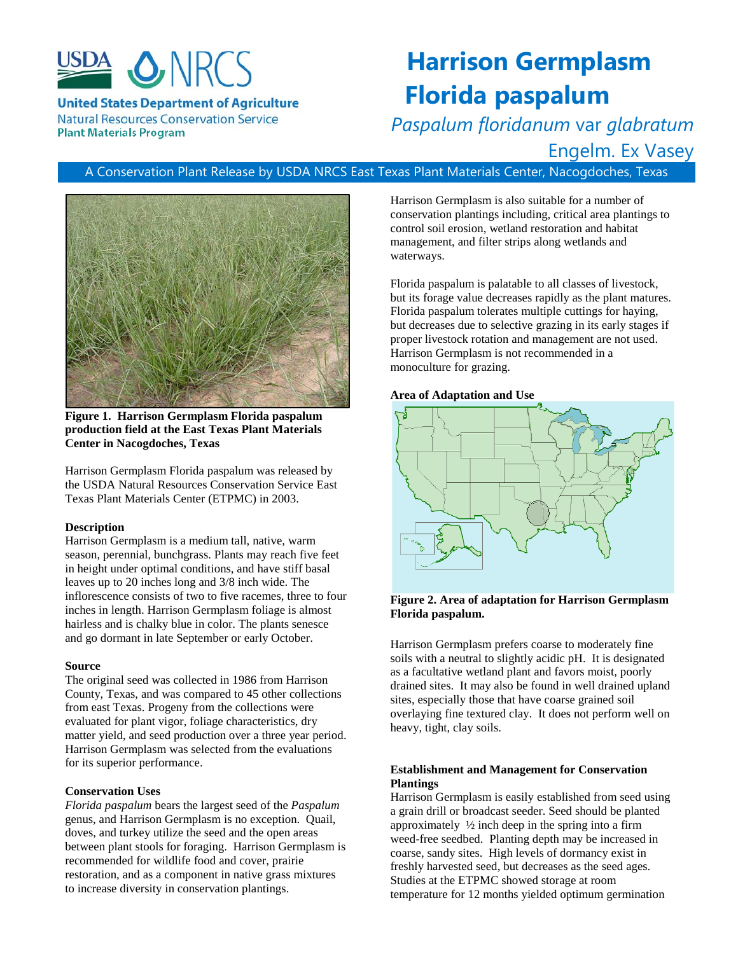

**United States Department of Agriculture Natural Resources Conservation Service Plant Materials Program** 

# **Harrison Germplasm Florida paspalum**

*Paspalum floridanum* var *glabratum*  Engelm. Ex Vasey

# A Conservation Plant Release by USDA NRCS East Texas Plant Materials Center, Nacogdoches, Texas



**Figure 1. Harrison Germplasm Florida paspalum production field at the East Texas Plant Materials Center in Nacogdoches, Texas**

Harrison Germplasm Florida paspalum was released by the USDA Natural Resources Conservation Service East Texas Plant Materials Center (ETPMC) in 2003.

# **Description**

Harrison Germplasm is a medium tall, native, warm season, perennial, bunchgrass. Plants may reach five feet in height under optimal conditions, and have stiff basal leaves up to 20 inches long and 3/8 inch wide. The inflorescence consists of two to five racemes, three to four inches in length. Harrison Germplasm foliage is almost hairless and is chalky blue in color. The plants senesce and go dormant in late September or early October.

#### **Source**

The original seed was collected in 1986 from Harrison County, Texas, and was compared to 45 other collections from east Texas. Progeny from the collections were evaluated for plant vigor, foliage characteristics, dry matter yield, and seed production over a three year period. Harrison Germplasm was selected from the evaluations for its superior performance.

# **Conservation Uses**

*Florida paspalum* bears the largest seed of the *Paspalum* genus, and Harrison Germplasm is no exception. Quail, doves, and turkey utilize the seed and the open areas between plant stools for foraging. Harrison Germplasm is recommended for wildlife food and cover, prairie restoration, and as a component in native grass mixtures to increase diversity in conservation plantings.

Harrison Germplasm is also suitable for a number of conservation plantings including, critical area plantings to control soil erosion, wetland restoration and habitat management, and filter strips along wetlands and waterways.

Florida paspalum is palatable to all classes of livestock, but its forage value decreases rapidly as the plant matures. Florida paspalum tolerates multiple cuttings for haying, but decreases due to selective grazing in its early stages if proper livestock rotation and management are not used. Harrison Germplasm is not recommended in a monoculture for grazing.

#### **Area of Adaptation and Use**



#### **Figure 2. Area of adaptation for Harrison Germplasm Florida paspalum.**

Harrison Germplasm prefers coarse to moderately fine soils with a neutral to slightly acidic pH. It is designated as a facultative wetland plant and favors moist, poorly drained sites. It may also be found in well drained upland sites, especially those that have coarse grained soil overlaying fine textured clay. It does not perform well on heavy, tight, clay soils.

### **Establishment and Management for Conservation Plantings**

Harrison Germplasm is easily established from seed using a grain drill or broadcast seeder. Seed should be planted approximately  $\frac{1}{2}$  inch deep in the spring into a firm weed-free seedbed. Planting depth may be increased in coarse, sandy sites. High levels of dormancy exist in freshly harvested seed, but decreases as the seed ages. Studies at the ETPMC showed storage at room temperature for 12 months yielded optimum germination